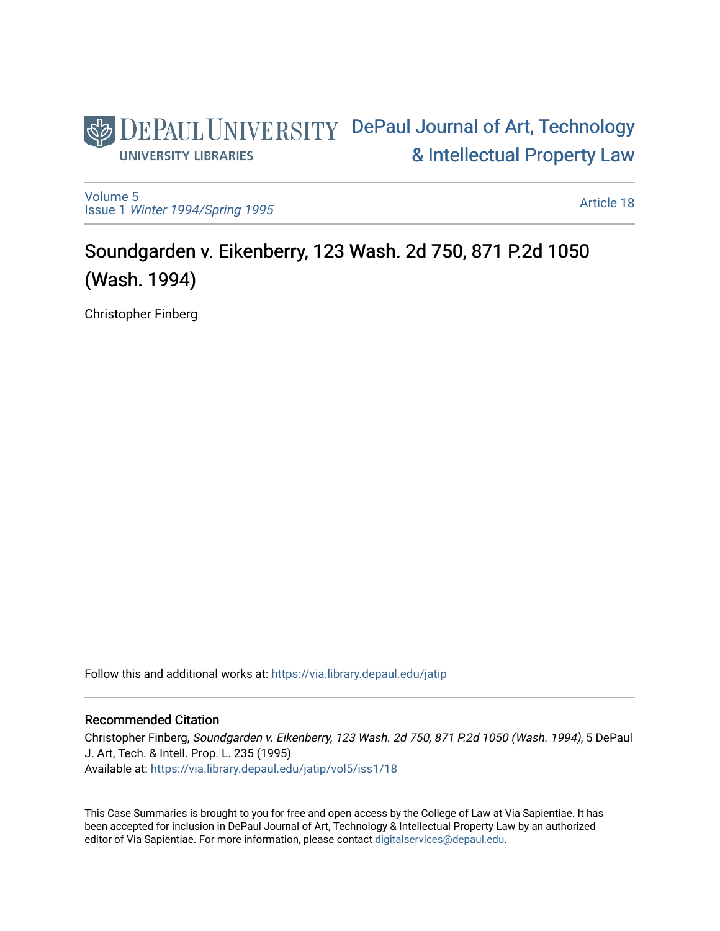# DEPAUL UNIVERSITY DePaul Journal of Art, Technology [& Intellectual Property Law](https://via.library.depaul.edu/jatip)  **UNIVERSITY LIBRARIES**

[Volume 5](https://via.library.depaul.edu/jatip/vol5) Issue 1 [Winter 1994/Spring 1995](https://via.library.depaul.edu/jatip/vol5/iss1)

[Article 18](https://via.library.depaul.edu/jatip/vol5/iss1/18) 

# Soundgarden v. Eikenberry, 123 Wash. 2d 750, 871 P.2d 1050 (Wash. 1994)

Christopher Finberg

Follow this and additional works at: [https://via.library.depaul.edu/jatip](https://via.library.depaul.edu/jatip?utm_source=via.library.depaul.edu%2Fjatip%2Fvol5%2Fiss1%2F18&utm_medium=PDF&utm_campaign=PDFCoverPages)

## Recommended Citation

Christopher Finberg, Soundgarden v. Eikenberry, 123 Wash. 2d 750, 871 P.2d 1050 (Wash. 1994), 5 DePaul J. Art, Tech. & Intell. Prop. L. 235 (1995) Available at: [https://via.library.depaul.edu/jatip/vol5/iss1/18](https://via.library.depaul.edu/jatip/vol5/iss1/18?utm_source=via.library.depaul.edu%2Fjatip%2Fvol5%2Fiss1%2F18&utm_medium=PDF&utm_campaign=PDFCoverPages) 

This Case Summaries is brought to you for free and open access by the College of Law at Via Sapientiae. It has been accepted for inclusion in DePaul Journal of Art, Technology & Intellectual Property Law by an authorized editor of Via Sapientiae. For more information, please contact [digitalservices@depaul.edu](mailto:digitalservices@depaul.edu).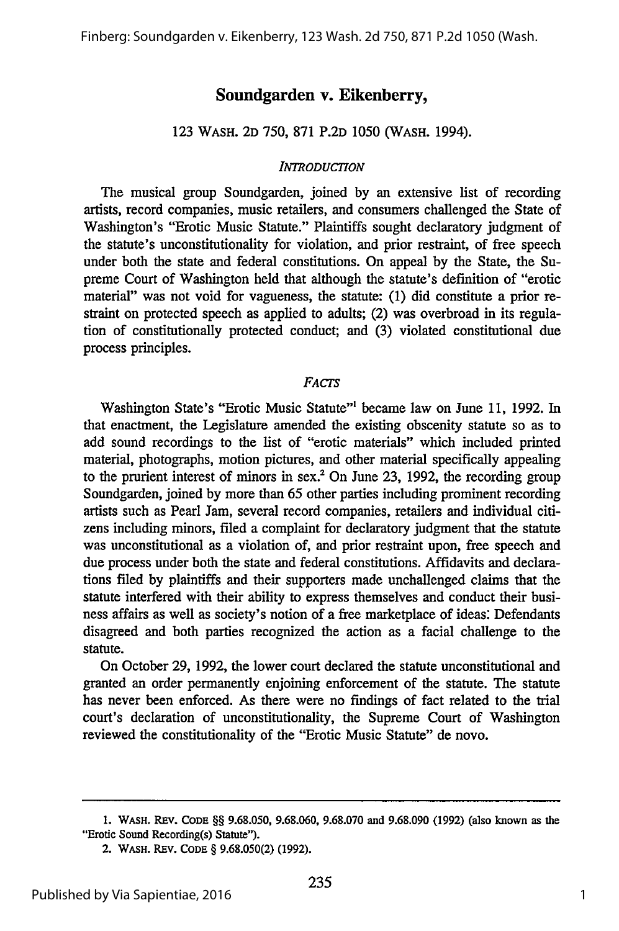# **Soundgarden v. Eikenberry,**

### 123 WASH. 2D 750, 871 P.2D 1050 (WASH. 1994).

#### *INTRODUCTION*

The musical group Soundgarden, joined by an extensive list of recording artists, record companies, music retailers, and consumers challenged the State of Washington's "Erotic Music Statute." Plaintiffs sought declaratory judgment of the statute's unconstitutionality for violation, and prior restraint, of free speech under both the state and federal constitutions. On appeal by the State, the Supreme Court of Washington held that although the statute's definition of "erotic material" was not void for vagueness, the statute: (1) did constitute a prior restraint on protected speech as applied to adults; (2) was overbroad in its regulation of constitutionally protected conduct; and (3) violated constitutional due process principles.

#### *FACTS*

Washington State's "Erotic Music Statute"' became law on June 11, 1992. In that enactment, the Legislature amended the existing obscenity statute so as to add sound recordings to the list of "erotic materials" which included printed material, photographs, motion pictures, and other material specifically appealing to the prurient interest of minors in sex.2 On June **23,** 1992, the recording group Soundgarden, joined by more than 65 other parties including prominent recording artists such as Pearl Jam, several record companies, retailers and individual citizens including minors, filed a complaint for declaratory judgment that the statute was unconstitutional as a violation of, and prior restraint upon, free speech and due process under both the state and federal constitutions. Affidavits and declarations filed by plaintiffs and their supporters made unchallenged claims that the statute interfered with their ability to express themselves and conduct their business affairs as well as society's notion of a free marketplace of ideas: Defendants disagreed and both parties recognized the action as a facial challenge to the statute.

On October **29,** 1992, the lower court declared the statute unconstitutional and granted an order permanently enjoining enforcement of the statute. The statute has never been enforced. As there were no findings of fact related to the trial court's declaration of unconstitutionality, the Supreme Court of Washington reviewed the constitutionality of the "Erotic Music Statute" de novo.

**<sup>1.</sup> WASH. REV. CODE** §§ **9.68.050, 9.68.060, 9.68.070 and 9.68.090 (1992)** (also **known** as the "Erotic Sound Recording(s) Statute").

**<sup>2.</sup> WASH.** REV. **CODE** § **9.68.050(2) (1992).**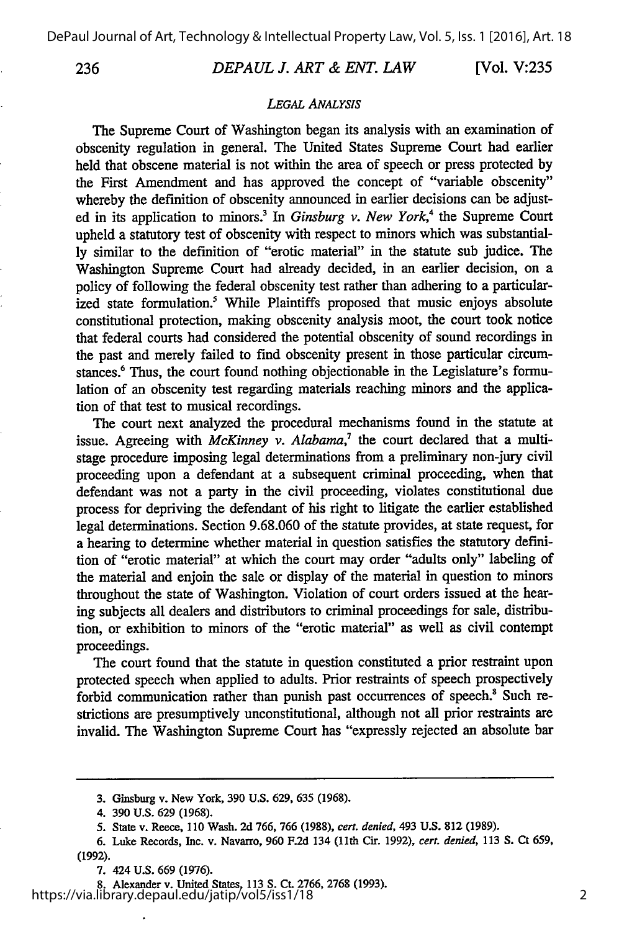236

#### *DEPAUL J. ART & ENT. LAW*

[Vol. **V:235**

#### *LEGAL ANALYSIS*

The Supreme Court of Washington began its analysis with an examination of obscenity regulation in general. The United States Supreme Court had earlier held that obscene material is not within the area of speech or press protected by the First Amendment and has approved the concept of "variable obscenity" whereby the definition of obscenity announced in earlier decisions can be adjusted in its application to minors.<sup>3</sup> In *Ginsburg v. New York*,<sup>4</sup> the Supreme Court upheld a statutory test of obscenity with respect to minors which was substantially similar to the definition of "erotic material" in the statute sub judice. The Washington Supreme Court had already decided, in an earlier decision, on a policy of following the federal obscenity test rather than adhering to a particularized state formulation.<sup>5</sup> While Plaintiffs proposed that music enjoys absolute constitutional protection, making obscenity analysis moot, the court took notice that federal courts had considered the potential obscenity of sound recordings in the past and merely failed to find obscenity present in those particular circumstances.<sup>6</sup> Thus, the court found nothing objectionable in the Legislature's formulation of an obscenity test regarding materials reaching minors and the application of that test to musical recordings.

The court next analyzed the procedural mechanisms found in the statute at issue. Agreeing with *McKinney v. Alabama*,<sup>7</sup> the court declared that a multistage procedure imposing legal determinations from a preliminary non-jury civil proceeding upon a defendant at a subsequent criminal proceeding, when that defendant was not a party in the civil proceeding, violates constitutional due process for depriving the defendant of his right to litigate the earlier established legal determinations. Section 9.68.060 of the statute provides, at state request, for a hearing to determine whether material in question satisfies the statutory definition of "erotic material" at which the court may order "adults only" labeling of the material and enjoin the sale or display of the material in question to minors throughout the state of Washington. Violation of court orders issued at the hearing subjects all dealers and distributors to criminal proceedings for sale, distribution, or exhibition to minors of the "erotic material" as well as civil contempt proceedings.

The court found that the statute in question constituted a prior restraint upon protected speech when applied to adults. Prior restraints of speech prospectively forbid communication rather than punish past occurrences of speech.<sup>8</sup> Such restrictions are presumptively unconstitutional, although not all prior restraints are invalid. The Washington Supreme Court has "expressly rejected an absolute bar

8. Alexander v. United States, **113 S. Ct. 2766, 2768 (1993).** https://via.library.depaul.edu/jatip/vol5/iss1/18

<sup>3.</sup> Ginsburg v. New York, **390 U.S. 629, 635 (1968).**

<sup>4. 390</sup> U.S. 629 (1968).

**<sup>5.</sup>** State v. Reece, 110 Wash. 2d 766, 766 (1988), *cert. denied,* 493 U.S. **812** (1989).

**<sup>6.</sup>** Luke Records, Inc. v. Navarro, **960 F.2d** 134 (1lth Cir. 1992), *cert. denied,* **113 S.** Ct **659,** (1992).

<sup>7. 424</sup> U.S. 669 (1976).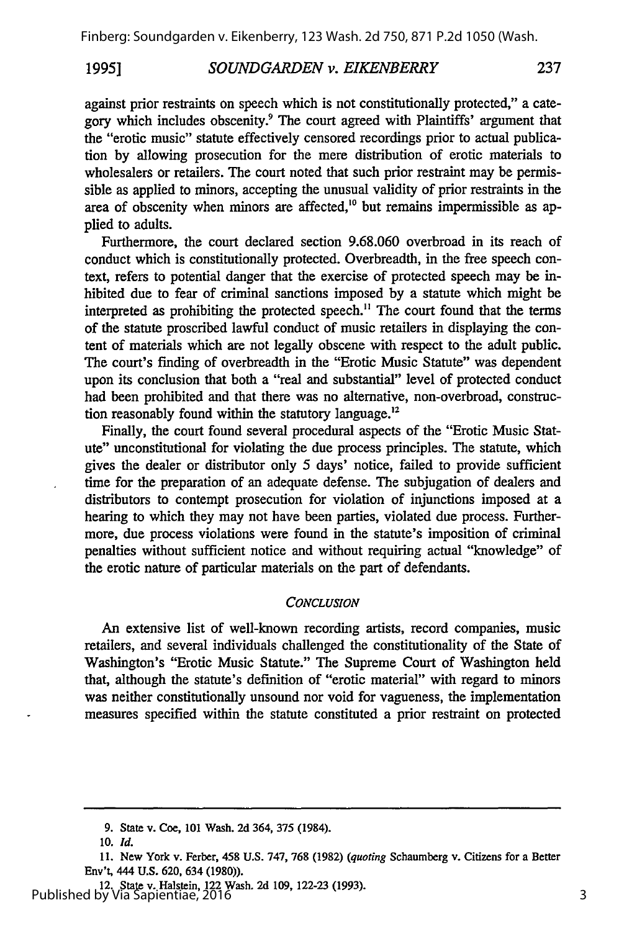#### *SOUNDGARDEN v. EIKENBERRY* **1995]**

against prior restraints on speech which is not constitutionally protected," a category which includes obscenity.9 The court agreed with Plaintiffs' argument that the "erotic music" statute effectively censored recordings prior to actual publication by allowing prosecution for the mere distribution of erotic materials to wholesalers or retailers. The court noted that such prior restraint may be permissible as applied to minors, accepting the unusual validity of prior restraints in the area of obscenity when minors are affected,<sup>10</sup> but remains impermissible as applied to adults.

Furthermore, the court declared section 9.68.060 overbroad in its reach of conduct which is constitutionally protected. Overbreadth, in the free speech context, refers to potential danger that the exercise of protected speech may be inhibited due to fear of criminal sanctions imposed by a statute which might be interpreted as prohibiting the protected speech." The court found that the terms of the statute proscribed lawful conduct of music retailers in displaying the content of materials which are not legally obscene with respect to the adult public. The court's finding of overbreadth in the "Erotic Music Statute" was dependent upon its conclusion that both a "real and substantial" level of protected conduct had been prohibited and that there was no alternative, non-overbroad, construction reasonably found within the statutory language.'

Finally, the court found several procedural aspects of the "Erotic Music Statute" unconstitutional for violating the due process principles. The statute, which gives the dealer or distributor only 5 days' notice, failed to provide sufficient time for the preparation of an adequate defense. The subjugation of dealers and distributors to contempt prosecution for violation of injunctions imposed at a hearing to which they may not have been parties, violated due process. Furthermore, due process violations were found in the statute's imposition of criminal penalties without sufficient notice and without requiring actual "knowledge" of the erotic nature of particular materials on the part of defendants.

#### *CONCLUSION*

An extensive list of well-known recording artists, record companies, music retailers, and several individuals challenged the constitutionality of the State of Washington's "Erotic Music Statute." The Supreme Court of Washington held that, although the statute's definition of "erotic material" with regard to minors was neither constitutionally unsound nor void for vagueness, the implementation measures specified within the statute constituted a prior restraint on protected

237

**<sup>9.</sup>** State v. Coe, **101** Wash. **2d** 364, **375** (1984).

*<sup>10.</sup> Id.*

**<sup>11.</sup>** New York v. Ferber, 458 U.S. 747, 768 **(1982)** *(quoting* Schaumberg v. Citizens for a Better Env't, 444 **U.S. 620,** 634 **(1980)).**

<sup>12.</sup> State v. Halstein, 122 Wash. **2d 109, 122-23 (1993).** Published by Via Sapientiae, 2016